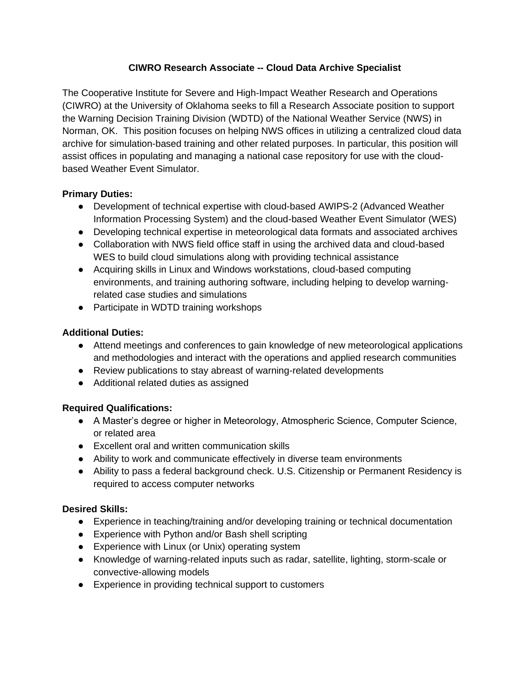#### **CIWRO Research Associate -- Cloud Data Archive Specialist**

The Cooperative Institute for Severe and High-Impact Weather Research and Operations (CIWRO) at the University of Oklahoma seeks to fill a Research Associate position to support the Warning Decision Training Division (WDTD) of the National Weather Service (NWS) in Norman, OK. This position focuses on helping NWS offices in utilizing a centralized cloud data archive for simulation-based training and other related purposes. In particular, this position will assist offices in populating and managing a national case repository for use with the cloudbased Weather Event Simulator.

## **Primary Duties:**

- Development of technical expertise with cloud-based AWIPS-2 (Advanced Weather Information Processing System) and the cloud-based Weather Event Simulator (WES)
- Developing technical expertise in meteorological data formats and associated archives
- Collaboration with NWS field office staff in using the archived data and cloud-based WES to build cloud simulations along with providing technical assistance
- Acquiring skills in Linux and Windows workstations, cloud-based computing environments, and training authoring software, including helping to develop warningrelated case studies and simulations
- Participate in WDTD training workshops

## **Additional Duties:**

- Attend meetings and conferences to gain knowledge of new meteorological applications and methodologies and interact with the operations and applied research communities
- Review publications to stay abreast of warning-related developments
- Additional related duties as assigned

# **Required Qualifications:**

- A Master's degree or higher in Meteorology, Atmospheric Science, Computer Science, or related area
- Excellent oral and written communication skills
- Ability to work and communicate effectively in diverse team environments
- Ability to pass a federal background check. U.S. Citizenship or Permanent Residency is required to access computer networks

# **Desired Skills:**

- Experience in teaching/training and/or developing training or technical documentation
- Experience with Python and/or Bash shell scripting
- Experience with Linux (or Unix) operating system
- Knowledge of warning-related inputs such as radar, satellite, lighting, storm-scale or convective-allowing models
- Experience in providing technical support to customers